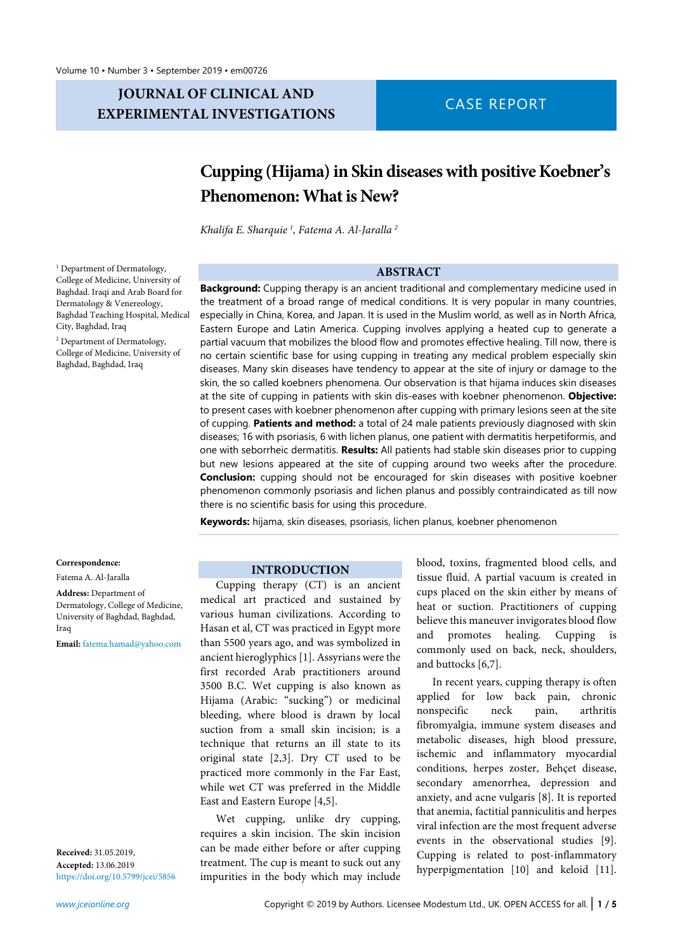# **JOURNAL OF CLINICAL AND EXPERIMENTAL INVESTIGATIONS** CASE REPORT

# **Cupping (Hijama)in Skin diseaseswith positive Koebner's Phenomenon: What is New?**

*Khalifa E. Sharquie <sup>1</sup> , Fatema A. Al-Jaralla <sup>2</sup>*

## **ABSTRACT**

**Background:** Cupping therapy is an ancient traditional and complementary medicine used in the treatment of a broad range of medical conditions. It is very popular in many countries, especially in China, Korea, and Japan. It is used in the Muslim world, as well as in North Africa, Eastern Europe and Latin America. Cupping involves applying a heated cup to generate a partial vacuum that mobilizes the blood flow and promotes effective healing. Till now, there is no certain scientific base for using cupping in treating any medical problem especially skin diseases. Many skin diseases have tendency to appear at the site of injury or damage to the skin, the so called koebners phenomena. Our observation is that hijama induces skin diseases at the site of cupping in patients with skin dis-eases with koebner phenomenon. **Objective:** to present cases with koebner phenomenon after cupping with primary lesions seen at the site of cupping. **Patients and method:** a total of 24 male patients previously diagnosed with skin diseases; 16 with psoriasis, 6 with lichen planus, one patient with dermatitis herpetiformis, and one with seborrheic dermatitis. **Results:** All patients had stable skin diseases prior to cupping but new lesions appeared at the site of cupping around two weeks after the procedure. **Conclusion:** cupping should not be encouraged for skin diseases with positive koebner phenomenon commonly psoriasis and lichen planus and possibly contraindicated as till now there is no scientific basis for using this procedure.

**Keywords:** hijama, skin diseases, psoriasis, lichen planus, koebner phenomenon

### **INTRODUCTION**

Cupping therapy (CT) is an ancient medical art practiced and sustained by various human civilizations. According to Hasan et al, CT was practiced in Egypt more than 5500 years ago, and was symbolized in ancient hieroglyphics [1]. Assyrians were the first recorded Arab practitioners around 3500 B.C. Wet cupping is also known as Hijama (Arabic: "sucking") or medicinal bleeding, where blood is drawn by local suction from a small skin incision; is a technique that returns an ill state to its original state [2,3]. Dry CT used to be practiced more commonly in the Far East, while wet CT was preferred in the Middle East and Eastern Europe [4,5].

Wet cupping, unlike dry cupping, requires a skin incision. The skin incision can be made either before or after cupping treatment. The cup is meant to suck out any impurities in the body which may include

blood, toxins, fragmented blood cells, and tissue fluid. A partial vacuum is created in cups placed on the skin either by means of heat or suction. Practitioners of cupping believe this maneuver invigorates blood flow and promotes healing. Cupping is commonly used on back, neck, shoulders, and buttocks [6,7].

In recent years, cupping therapy is often applied for low back pain, chronic nonspecific neck pain, arthritis fibromyalgia, immune system diseases and metabolic diseases, high blood pressure, ischemic and inflammatory myocardial conditions, herpes zoster, Behçet disease, secondary amenorrhea, depression and anxiety, and acne vulgaris [8]. It is reported that anemia, factitial panniculitis and herpes viral infection are the most frequent adverse events in the observational studies [9]. Cupping is related to post-inflammatory hyperpigmentation [10] and keloid [11].

<sup>1</sup> Department of Dermatology, College of Medicine, University of Baghdad. Iraqi and Arab Board for Dermatology & Venereology, Baghdad Teaching Hospital, Medical City, Baghdad, Iraq

<sup>2</sup> Department of Dermatology, College of Medicine, University of Baghdad, Baghdad, Iraq

#### **Correspondence:**

### Fatema A. Al-Jaralla

**Address:** Department of Dermatology, College of Medicine, University of Baghdad, Baghdad, Iraq

**Email:** [fatema.hamad@yahoo.com](mailto:fatema.hamad@yahoo.com)

**Received:** 31.05.2019, **Accepted:** 13.06.2019 <https://doi.org/10.5799/jcei/5856>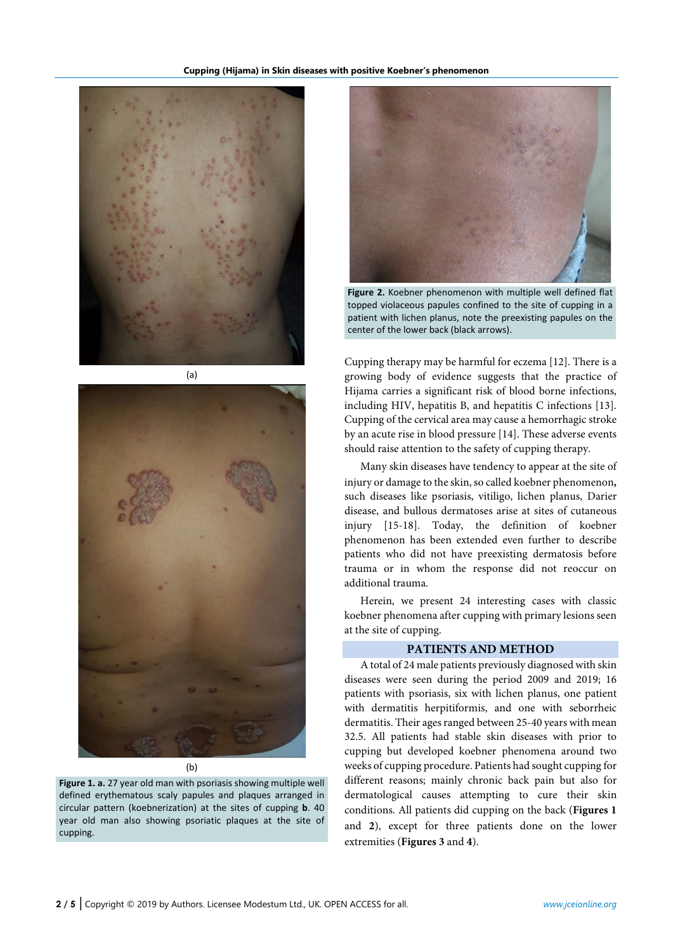

(a)



(b)

**Figure 1. a.** 27 year old man with psoriasis showing multiple well defined erythematous scaly papules and plaques arranged in circular pattern (koebnerization) at the sites of cupping **b**. 40 year old man also showing psoriatic plaques at the site of cupping.



**Figure 2.** Koebner phenomenon with multiple well defined flat topped violaceous papules confined to the site of cupping in a patient with lichen planus, note the preexisting papules on the center of the lower back (black arrows).

Cupping therapy may be harmful for eczema [12]. There is a growing body of evidence suggests that the practice of Hijama carries a significant risk of blood borne infections, including HIV, hepatitis B, and hepatitis C infections [13]. Cupping of the cervical area may cause a hemorrhagic stroke by an acute rise in blood pressure [14]. These adverse events should raise attention to the safety of cupping therapy.

Many skin diseases have tendency to appear at the site of injury or damage to the skin, so called koebner phenomenon, such diseases like psoriasis, vitiligo, lichen planus, Darier disease, and bullous dermatoses arise at sites of cutaneous injury [15-18]. Today, the definition of koebner phenomenon has been extended even further to describe patients who did not have preexisting dermatosis before trauma or in whom the response did not reoccur on additional trauma.

Herein, we present 24 interesting cases with classic koebner phenomena after cupping with primary lesions seen at the site of cupping.

# **PATIENTS AND METHOD**

A total of 24 male patients previously diagnosed with skin diseases were seen during the period 2009 and 2019; 16 patients with psoriasis, six with lichen planus, one patient with dermatitis herpitiformis, and one with seborrheic dermatitis. Their ages ranged between 25-40 years with mean 32.5. All patients had stable skin diseases with prior to cupping but developed koebner phenomena around two weeks of cupping procedure. Patients had sought cupping for different reasons; mainly chronic back pain but also for dermatological causes attempting to cure their skin conditions. All patients did cupping on the back (**Figures 1** and **2**), except for three patients done on the lower extremities (**Figures 3** and **4**).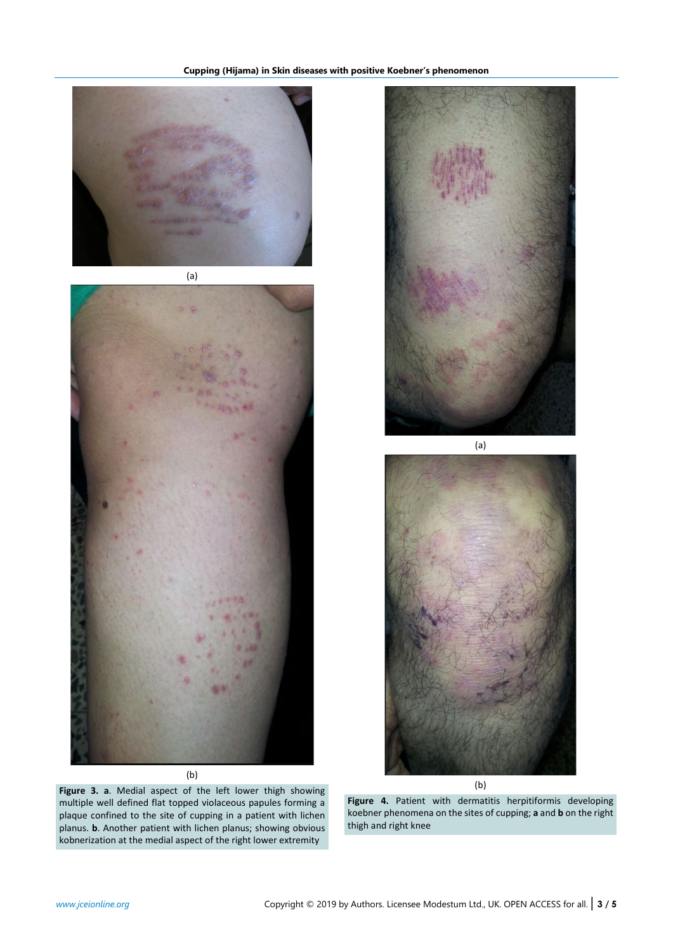

(a)



(b)

**Figure 3. a**. Medial aspect of the left lower thigh showing multiple well defined flat topped violaceous papules forming a plaque confined to the site of cupping in a patient with lichen planus. **b**. Another patient with lichen planus; showing obvious kobnerization at the medial aspect of the right lower extremity



(b)

**Figure 4.** Patient with dermatitis herpitiformis developing koebner phenomena on the sites of cupping; **a** and **b** on the right thigh and right knee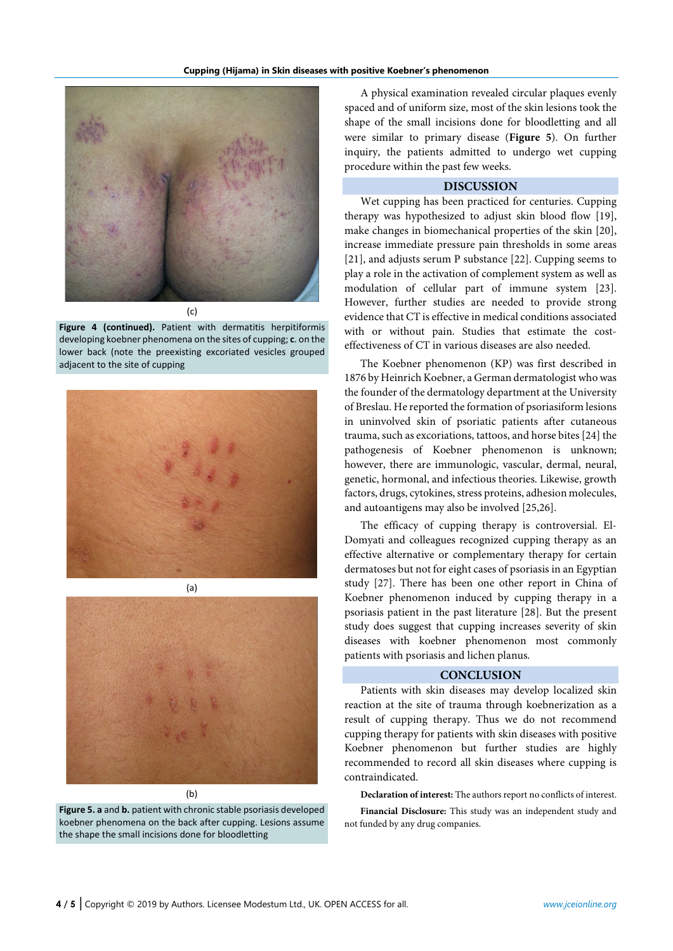

**Figure 4 (continued).** Patient with dermatitis herpitiformis developing koebner phenomena on the sites of cupping; **c**. on the lower back (note the preexisting excoriated vesicles grouped adjacent to the site of cupping





(b)

**Figure 5. a** and **b.** patient with chronic stable psoriasis developed koebner phenomena on the back after cupping. Lesions assume the shape the small incisions done for bloodletting

A physical examination revealed circular plaques evenly spaced and of uniform size, most of the skin lesions took the shape of the small incisions done for bloodletting and all were similar to primary disease (**Figure 5**). On further inquiry, the patients admitted to undergo wet cupping procedure within the past few weeks.

# **DISCUSSION**

Wet cupping has been practiced for centuries. Cupping therapy was hypothesized to adjust skin blood flow [19], make changes in biomechanical properties of the skin [20], increase immediate pressure pain thresholds in some areas [21], and adjusts serum P substance [22]. Cupping seems to play a role in the activation of complement system as well as modulation of cellular part of immune system [23]. However, further studies are needed to provide strong evidence that CT is effective in medical conditions associated with or without pain. Studies that estimate the costeffectiveness of CT in various diseases are also needed.

The Koebner phenomenon (KP) was first described in 1876 by Heinrich Koebner, a German dermatologist whowas the founder of the dermatology department at the University of Breslau. He reported the formation of psoriasiform lesions in uninvolved skin of psoriatic patients after cutaneous trauma, such as excoriations, tattoos, and horse bites [24] the pathogenesis of Koebner phenomenon is unknown; however, there are immunologic, vascular, dermal, neural, genetic, hormonal, and infectious theories. Likewise, growth factors, drugs, cytokines, stress proteins, adhesion molecules, and autoantigens may also be involved [25,26].

The efficacy of cupping therapy is controversial. El-Domyati and colleagues recognized cupping therapy as an effective alternative or complementary therapy for certain dermatoses but not for eight cases of psoriasis in an Egyptian study [27]. There has been one other report in China of Koebner phenomenon induced by cupping therapy in a psoriasis patient in the past literature [28]. But the present study does suggest that cupping increases severity of skin diseases with koebner phenomenon most commonly patients with psoriasis and lichen planus.

# **CONCLUSION**

Patients with skin diseases may develop localized skin reaction at the site of trauma through koebnerization as a result of cupping therapy. Thus we do not recommend cupping therapy for patients with skin diseases with positive Koebner phenomenon but further studies are highly recommended to record all skin diseases where cupping is contraindicated.

**Declaration of interest:** The authors report no conflicts of interest.

**Financial Disclosure:** This study was an independent study and not funded by any drug companies.